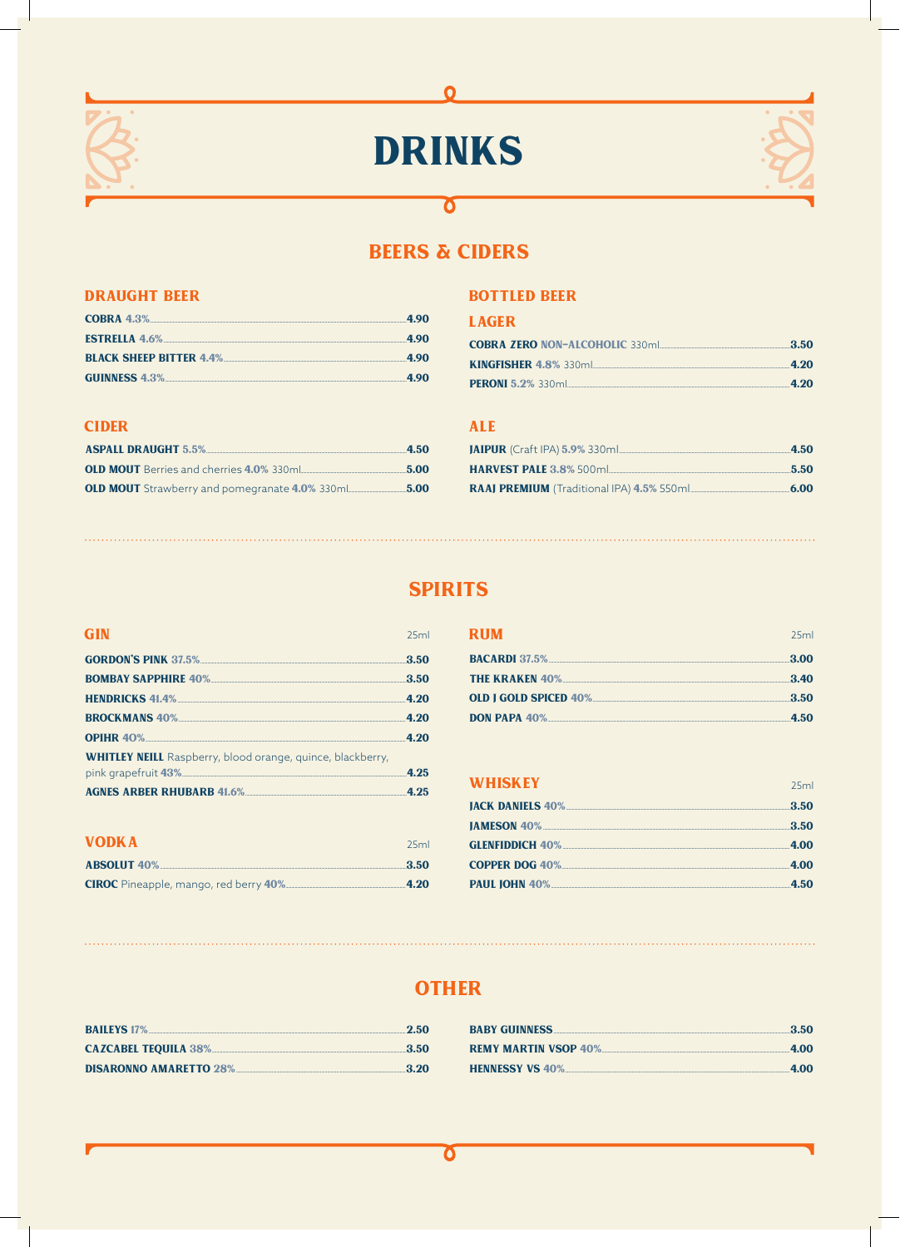

# **DRINKS**

 $\Omega$ 



# **BEERS & CIDERS**

 $\overline{\mathbf{o}}$ 

### **DRAUGHT BEER**

| COBRA $4.3\%$                  | 4.90 |
|--------------------------------|------|
| <b>ESTRELLA 4.6%</b>           | 490  |
| <b>BLACK SHEEP BITTER 4.4%</b> | 490  |
| GUINNESS 4.3%                  | 4.90 |

### **CIDER**

| <b>ASPALL DRAUGHT 5.5%</b>                            | 4.50 |
|-------------------------------------------------------|------|
| <b>OLD MOUT</b> Berries and cherries 4.0% 330ml       | 5.00 |
| <b>OLD MOUT</b> Strawberry and pomegranate 4.0% 330ml | 5.00 |

### **BOTTLED BEER**

### **LAGER**

| <b>COBRA ZERO NON-ALCOHOLIC 330ml</b> | 3.50 |
|---------------------------------------|------|
| <b>KINGFISHER 4.8% 330ml</b>          | 4.20 |
| <b>PERONI 5.2% 330ml</b>              | 4.20 |

### **ALE**

| <b>JAIPUR</b> (Craft IPA) 5.9% 330ml      | 4.50 |
|-------------------------------------------|------|
| <b>HARVEST PALE 3.8% 500ml</b>            | 5.50 |
| RAAJ PREMIUM (Traditional IPA) 4.5% 550ml | 6.00 |

# **SPIRITS**

#### **GIN**  $25ml$ **GORDON'S PINK 37.5%...**  $3.50$ **BOMBAY SAPPHIRE 40%**  $3.50$ **HENDRICKS 41.4%**  $4.20$ **BROCKMANS 40%.....**  $4.20$ **OPIHR 40%**  $4.20$ **WHITLEY NEILL** Raspberry, blood orange, quince, blackberry, pink grapefruit 43%...  $4.25$ **AGNES ARBER RHUBARB 41.6%...**  $4.25$

| <b>VODKA</b>                                 | 25 <sub>rr</sub> |
|----------------------------------------------|------------------|
| <b>ABSOLUT 40%</b>                           | -3.50            |
| <b>CIROC</b> Pineapple, mango, red berry 40% | 4.20             |

| <b>RIIM</b>                                        | 25ml |
|----------------------------------------------------|------|
| <b>BACARDI</b> 37.5%                               | 3.00 |
| <b>THE KRAKEN 40%</b>                              | 3.40 |
| <b>OLD I GOLD SPICED 40% Property and ADVISION</b> | 3.50 |
| <b>DON PAPA 40%</b>                                | 4.50 |

### **WHISKEY**

| 3.50 |
|------|
| 3.50 |
|      |
|      |
|      |
|      |

# **OTHER**

| <b>BAILEYS</b> 17%            | 2.50  |
|-------------------------------|-------|
| CAZCABEL TEQUILA 38%          | 3.50  |
| <b>DISARONNO AMARETTO 28%</b> | -3.20 |

| <b>BABY GUINNESS</b>        | -3.50 |
|-----------------------------|-------|
| <b>REMY MARTIN VSOP 40%</b> | 4.00  |
| <b>HENNESSY VS 40%</b>      | 4.00  |

### Ծ